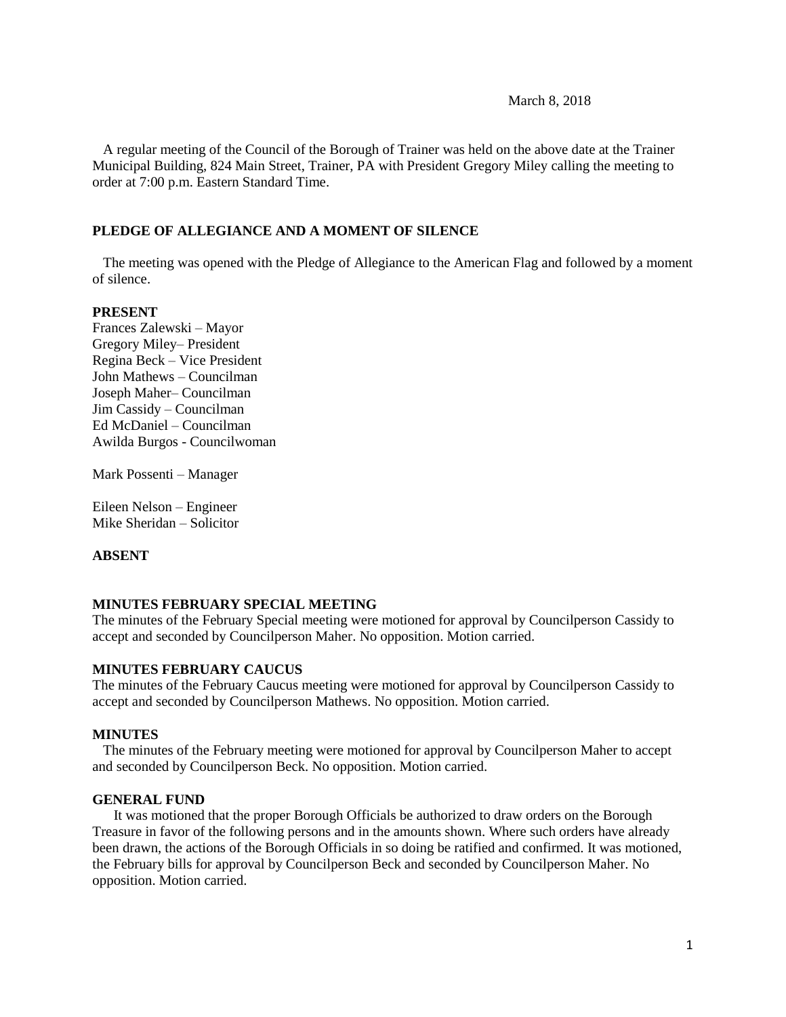#### March 8, 2018

 A regular meeting of the Council of the Borough of Trainer was held on the above date at the Trainer Municipal Building, 824 Main Street, Trainer, PA with President Gregory Miley calling the meeting to order at 7:00 p.m. Eastern Standard Time.

### **PLEDGE OF ALLEGIANCE AND A MOMENT OF SILENCE**

 The meeting was opened with the Pledge of Allegiance to the American Flag and followed by a moment of silence.

#### **PRESENT**

Frances Zalewski – Mayor Gregory Miley– President Regina Beck – Vice President John Mathews – Councilman Joseph Maher– Councilman Jim Cassidy – Councilman Ed McDaniel – Councilman Awilda Burgos - Councilwoman

Mark Possenti – Manager

Eileen Nelson – Engineer Mike Sheridan – Solicitor

#### **ABSENT**

### **MINUTES FEBRUARY SPECIAL MEETING**

The minutes of the February Special meeting were motioned for approval by Councilperson Cassidy to accept and seconded by Councilperson Maher. No opposition. Motion carried.

#### **MINUTES FEBRUARY CAUCUS**

The minutes of the February Caucus meeting were motioned for approval by Councilperson Cassidy to accept and seconded by Councilperson Mathews. No opposition. Motion carried.

#### **MINUTES**

The minutes of the February meeting were motioned for approval by Councilperson Maher to accept and seconded by Councilperson Beck. No opposition. Motion carried.

# **GENERAL FUND**

 It was motioned that the proper Borough Officials be authorized to draw orders on the Borough Treasure in favor of the following persons and in the amounts shown. Where such orders have already been drawn, the actions of the Borough Officials in so doing be ratified and confirmed. It was motioned, the February bills for approval by Councilperson Beck and seconded by Councilperson Maher. No opposition. Motion carried.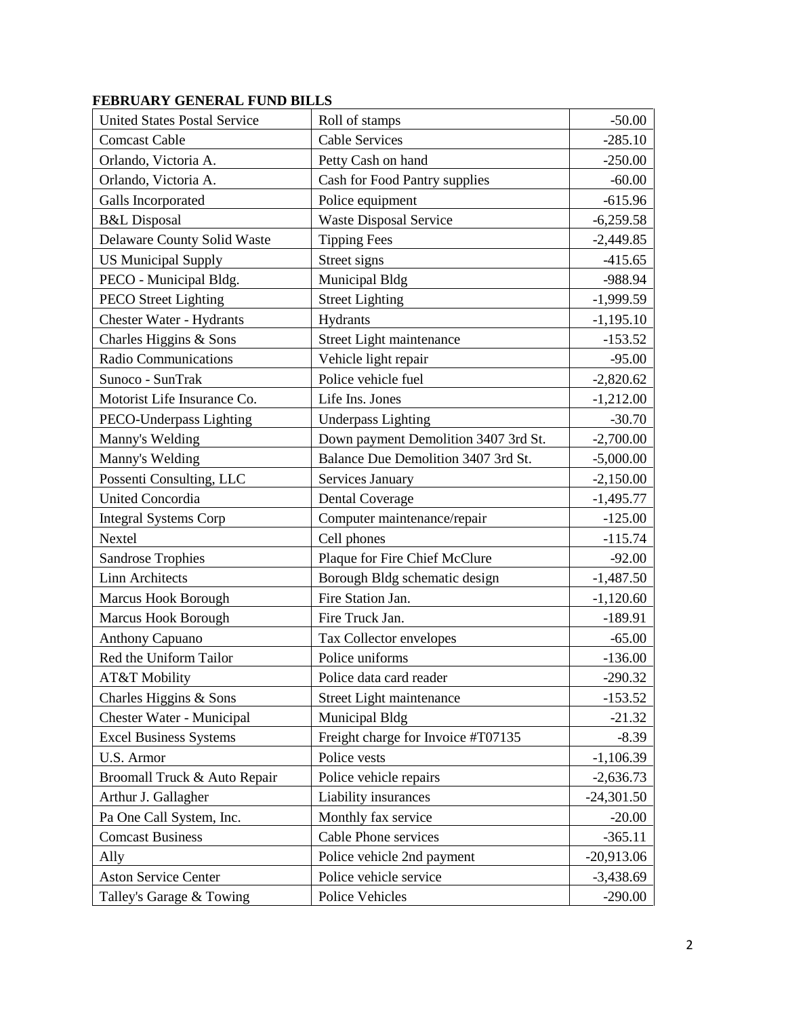| <b>United States Postal Service</b> | Roll of stamps                       | $-50.00$     |
|-------------------------------------|--------------------------------------|--------------|
| <b>Comcast Cable</b>                | <b>Cable Services</b>                | $-285.10$    |
| Orlando, Victoria A.                | Petty Cash on hand                   | $-250.00$    |
| Orlando, Victoria A.                | Cash for Food Pantry supplies        | $-60.00$     |
| Galls Incorporated                  | Police equipment                     | $-615.96$    |
| <b>B&amp;L</b> Disposal             | <b>Waste Disposal Service</b>        | $-6,259.58$  |
| Delaware County Solid Waste         | <b>Tipping Fees</b>                  | $-2,449.85$  |
| <b>US Municipal Supply</b>          | Street signs                         | $-415.65$    |
| PECO - Municipal Bldg.              | Municipal Bldg                       | -988.94      |
| <b>PECO</b> Street Lighting         | <b>Street Lighting</b>               | $-1,999.59$  |
| <b>Chester Water - Hydrants</b>     | Hydrants                             | $-1,195.10$  |
| Charles Higgins & Sons              | Street Light maintenance             | $-153.52$    |
| <b>Radio Communications</b>         | Vehicle light repair                 | $-95.00$     |
| Sunoco - SunTrak                    | Police vehicle fuel                  | $-2,820.62$  |
| Motorist Life Insurance Co.         | Life Ins. Jones                      | $-1,212.00$  |
| PECO-Underpass Lighting             | <b>Underpass Lighting</b>            | $-30.70$     |
| Manny's Welding                     | Down payment Demolition 3407 3rd St. | $-2,700.00$  |
| Manny's Welding                     | Balance Due Demolition 3407 3rd St.  | $-5,000.00$  |
| Possenti Consulting, LLC            | Services January                     | $-2,150.00$  |
| <b>United Concordia</b>             | <b>Dental Coverage</b>               | $-1,495.77$  |
| <b>Integral Systems Corp</b>        | Computer maintenance/repair          | $-125.00$    |
| Nextel                              | Cell phones                          | $-115.74$    |
| <b>Sandrose Trophies</b>            | Plaque for Fire Chief McClure        | $-92.00$     |
| <b>Linn Architects</b>              | Borough Bldg schematic design        | $-1,487.50$  |
| <b>Marcus Hook Borough</b>          | Fire Station Jan.                    | $-1,120.60$  |
| Marcus Hook Borough                 | Fire Truck Jan.                      | $-189.91$    |
| <b>Anthony Capuano</b>              | Tax Collector envelopes              | $-65.00$     |
| Red the Uniform Tailor              | Police uniforms                      | $-136.00$    |
| AT&T Mobility                       | Police data card reader              | $-290.32$    |
| Charles Higgins & Sons              | Street Light maintenance             | $-153.52$    |
| Chester Water - Municipal           | Municipal Bldg                       | $-21.32$     |
| <b>Excel Business Systems</b>       | Freight charge for Invoice #T07135   | $-8.39$      |
| U.S. Armor                          | Police vests                         | $-1,106.39$  |
| Broomall Truck & Auto Repair        | Police vehicle repairs               | $-2,636.73$  |
| Arthur J. Gallagher                 | Liability insurances                 | $-24,301.50$ |
| Pa One Call System, Inc.            | Monthly fax service                  | $-20.00$     |
| <b>Comcast Business</b>             | Cable Phone services                 | $-365.11$    |
| Ally                                | Police vehicle 2nd payment           | $-20,913.06$ |
| <b>Aston Service Center</b>         | Police vehicle service               | $-3,438.69$  |
| Talley's Garage & Towing            | Police Vehicles                      | $-290.00$    |

# **FEBRUARY GENERAL FUND BILLS**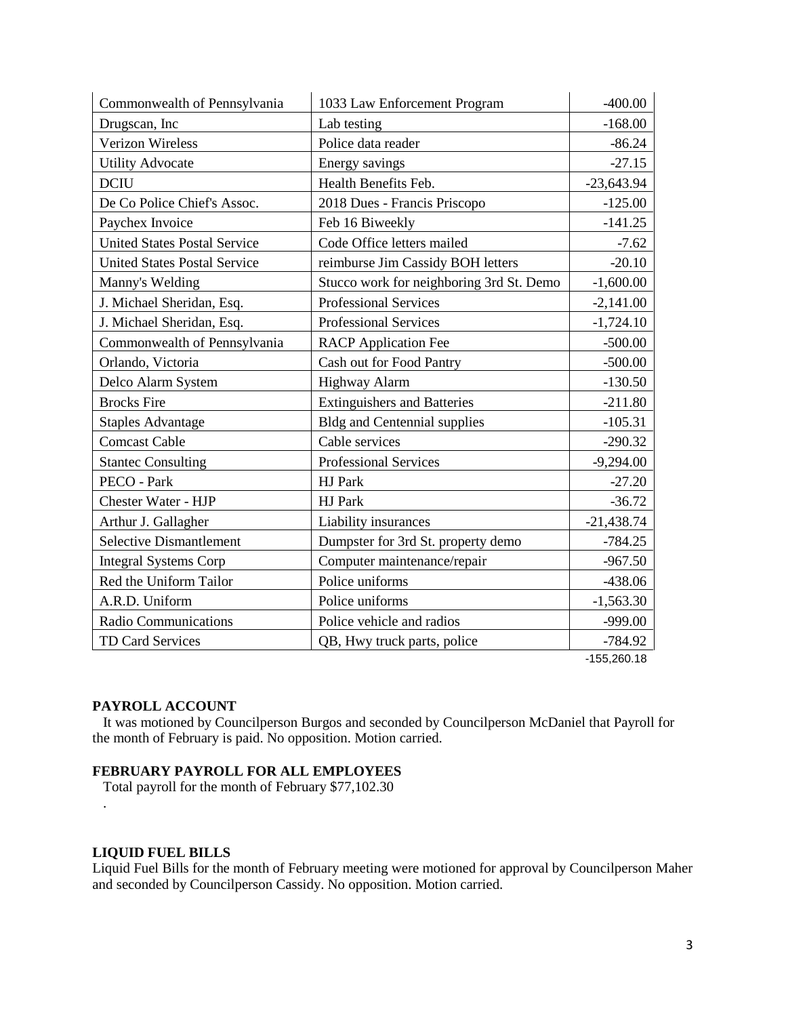| Commonwealth of Pennsylvania        | 1033 Law Enforcement Program             | $-400.00$    |
|-------------------------------------|------------------------------------------|--------------|
| Drugscan, Inc                       | Lab testing                              | $-168.00$    |
| <b>Verizon Wireless</b>             | Police data reader                       | $-86.24$     |
| <b>Utility Advocate</b>             | Energy savings                           | $-27.15$     |
| <b>DCIU</b>                         | Health Benefits Feb.                     | $-23,643.94$ |
| De Co Police Chief's Assoc.         | 2018 Dues - Francis Priscopo             | $-125.00$    |
| Paychex Invoice                     | Feb 16 Biweekly                          | $-141.25$    |
| <b>United States Postal Service</b> | Code Office letters mailed               | $-7.62$      |
| <b>United States Postal Service</b> | reimburse Jim Cassidy BOH letters        | $-20.10$     |
| Manny's Welding                     | Stucco work for neighboring 3rd St. Demo | $-1,600.00$  |
| J. Michael Sheridan, Esq.           | <b>Professional Services</b>             | $-2,141.00$  |
| J. Michael Sheridan, Esq.           | Professional Services                    | $-1,724.10$  |
| Commonwealth of Pennsylvania        | <b>RACP</b> Application Fee              | $-500.00$    |
| Orlando, Victoria                   | Cash out for Food Pantry                 | $-500.00$    |
| Delco Alarm System                  | <b>Highway Alarm</b>                     | $-130.50$    |
| <b>Brocks</b> Fire                  | <b>Extinguishers and Batteries</b>       | $-211.80$    |
| <b>Staples Advantage</b>            | <b>Bldg and Centennial supplies</b>      | $-105.31$    |
| <b>Comcast Cable</b>                | Cable services                           | $-290.32$    |
| <b>Stantec Consulting</b>           | <b>Professional Services</b>             | $-9,294.00$  |
| PECO - Park                         | HJ Park                                  | $-27.20$     |
| <b>Chester Water - HJP</b>          | HJ Park                                  | $-36.72$     |
| Arthur J. Gallagher                 | Liability insurances                     | $-21,438.74$ |
| <b>Selective Dismantlement</b>      | Dumpster for 3rd St. property demo       | $-784.25$    |
| <b>Integral Systems Corp</b>        | Computer maintenance/repair              | $-967.50$    |
| Red the Uniform Tailor              | Police uniforms                          | $-438.06$    |
| A.R.D. Uniform                      | Police uniforms                          | $-1,563.30$  |
| Radio Communications                | Police vehicle and radios                | $-999.00$    |
| TD Card Services                    | QB, Hwy truck parts, police              | $-784.92$    |

-155,260.18

#### **PAYROLL ACCOUNT**

 It was motioned by Councilperson Burgos and seconded by Councilperson McDaniel that Payroll for the month of February is paid. No opposition. Motion carried.

### **FEBRUARY PAYROLL FOR ALL EMPLOYEES**

Total payroll for the month of February \$77,102.30

### **LIQUID FUEL BILLS**

.

Liquid Fuel Bills for the month of February meeting were motioned for approval by Councilperson Maher and seconded by Councilperson Cassidy. No opposition. Motion carried.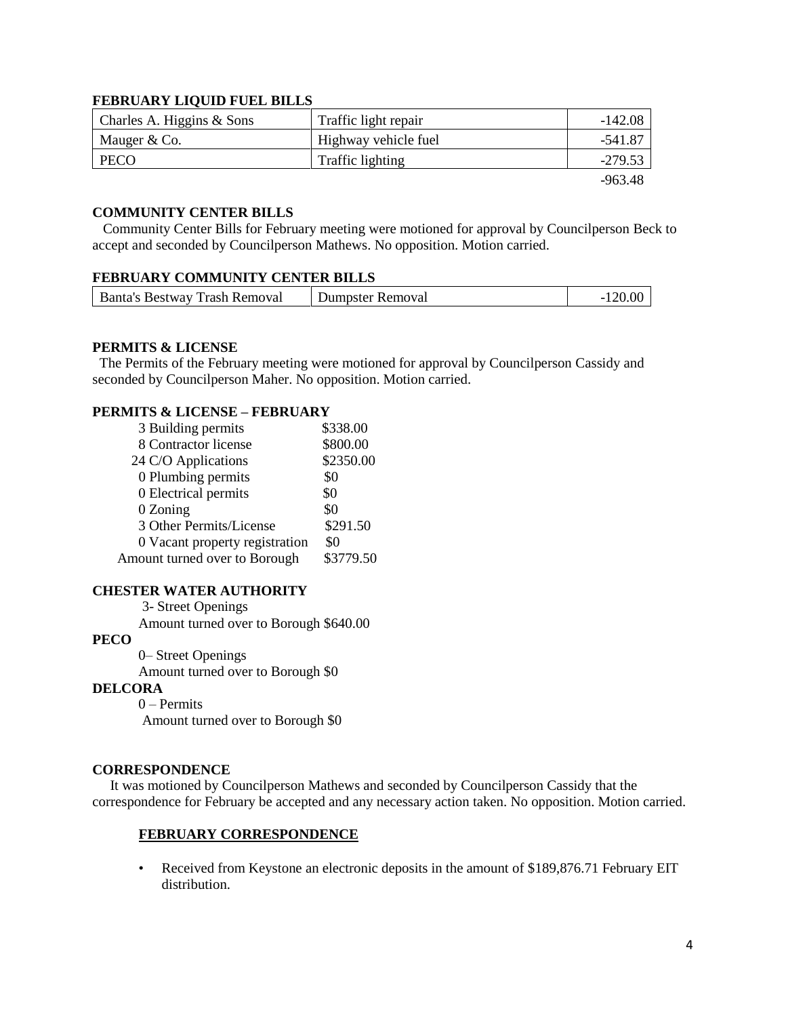# **FEBRUARY LIQUID FUEL BILLS**

| Charles A. Higgins $&$ Sons | Traffic light repair | -142.08   |
|-----------------------------|----------------------|-----------|
| Mauger & Co.                | Highway vehicle fuel | -541.87   |
| <b>PECO</b>                 | Traffic lighting     | $-279.53$ |
|                             |                      | -963.48   |

### **COMMUNITY CENTER BILLS**

 Community Center Bills for February meeting were motioned for approval by Councilperson Beck to accept and seconded by Councilperson Mathews. No opposition. Motion carried.

### **FEBRUARY COMMUNITY CENTER BILLS**

| Banta's Bestway Trash Removal | Dumpster Removal |  |
|-------------------------------|------------------|--|
|                               |                  |  |

#### **PERMITS & LICENSE**

The Permits of the February meeting were motioned for approval by Councilperson Cassidy and seconded by Councilperson Maher. No opposition. Motion carried.

# **PERMITS & LICENSE – FEBRUARY**

| 3 Building permits             | \$338.00  |
|--------------------------------|-----------|
| 8 Contractor license           | \$800.00  |
| 24 C/O Applications            | \$2350.00 |
| 0 Plumbing permits             | \$0       |
| 0 Electrical permits           | \$0       |
| 0 Zoning                       | \$0       |
| 3 Other Permits/License        | \$291.50  |
| 0 Vacant property registration | \$0       |
| Amount turned over to Borough  | \$3779.50 |

#### **CHESTER WATER AUTHORITY**

3- Street Openings

Amount turned over to Borough \$640.00

# **PECO**

 0– Street Openings Amount turned over to Borough \$0

#### **DELCORA**

0 – Permits Amount turned over to Borough \$0

#### **CORRESPONDENCE**

 It was motioned by Councilperson Mathews and seconded by Councilperson Cassidy that the correspondence for February be accepted and any necessary action taken. No opposition. Motion carried.

#### **FEBRUARY CORRESPONDENCE**

• Received from Keystone an electronic deposits in the amount of \$189,876.71 February EIT distribution.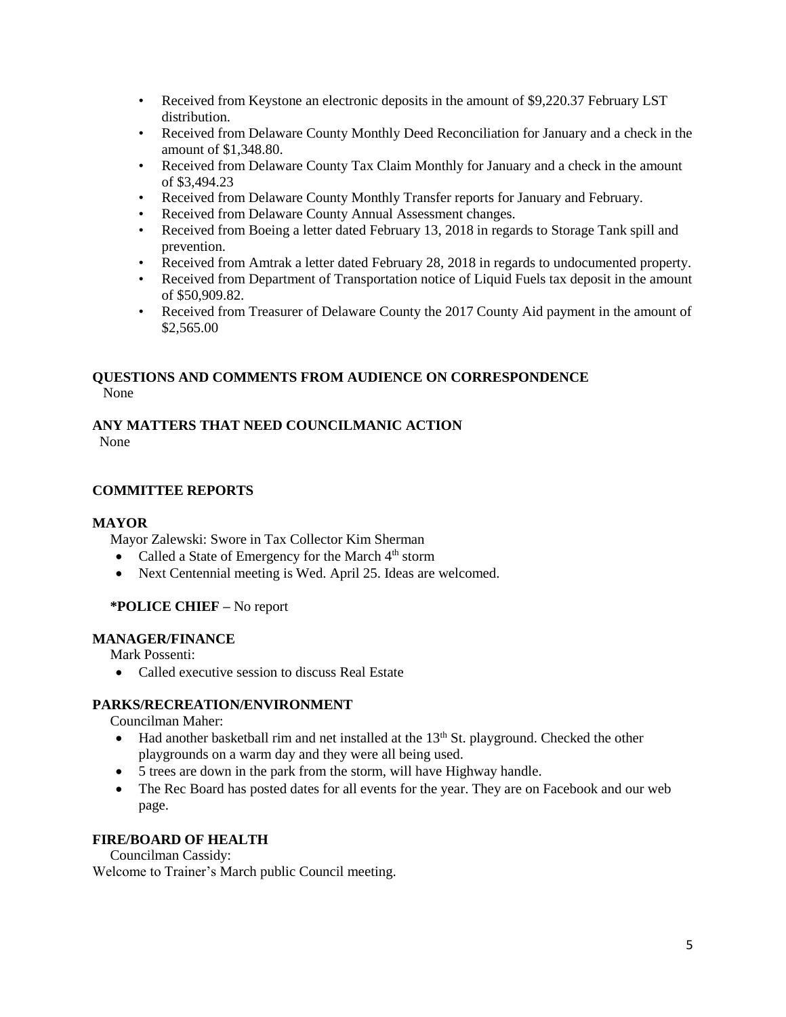- Received from Keystone an electronic deposits in the amount of \$9,220.37 February LST distribution.
- Received from Delaware County Monthly Deed Reconciliation for January and a check in the amount of \$1,348.80.
- Received from Delaware County Tax Claim Monthly for January and a check in the amount of \$3,494.23
- Received from Delaware County Monthly Transfer reports for January and February.
- Received from Delaware County Annual Assessment changes.
- Received from Boeing a letter dated February 13, 2018 in regards to Storage Tank spill and prevention.
- Received from Amtrak a letter dated February 28, 2018 in regards to undocumented property.
- Received from Department of Transportation notice of Liquid Fuels tax deposit in the amount of \$50,909.82.
- Received from Treasurer of Delaware County the 2017 County Aid payment in the amount of \$2,565.00

# **QUESTIONS AND COMMENTS FROM AUDIENCE ON CORRESPONDENCE** None

# **ANY MATTERS THAT NEED COUNCILMANIC ACTION**

None

# **COMMITTEE REPORTS**

# **MAYOR**

Mayor Zalewski: Swore in Tax Collector Kim Sherman

- Called a State of Emergency for the March  $4<sup>th</sup>$  storm
- Next Centennial meeting is Wed. April 25. Ideas are welcomed.

# **\*POLICE CHIEF –** No report

# **MANAGER/FINANCE**

Mark Possenti:

• Called executive session to discuss Real Estate

# **PARKS/RECREATION/ENVIRONMENT**

Councilman Maher:

- $\bullet$  Had another basketball rim and net installed at the 13<sup>th</sup> St. playground. Checked the other playgrounds on a warm day and they were all being used.
- 5 trees are down in the park from the storm, will have Highway handle.
- The Rec Board has posted dates for all events for the year. They are on Facebook and our web page.

# **FIRE/BOARD OF HEALTH**

Councilman Cassidy:

Welcome to Trainer's March public Council meeting.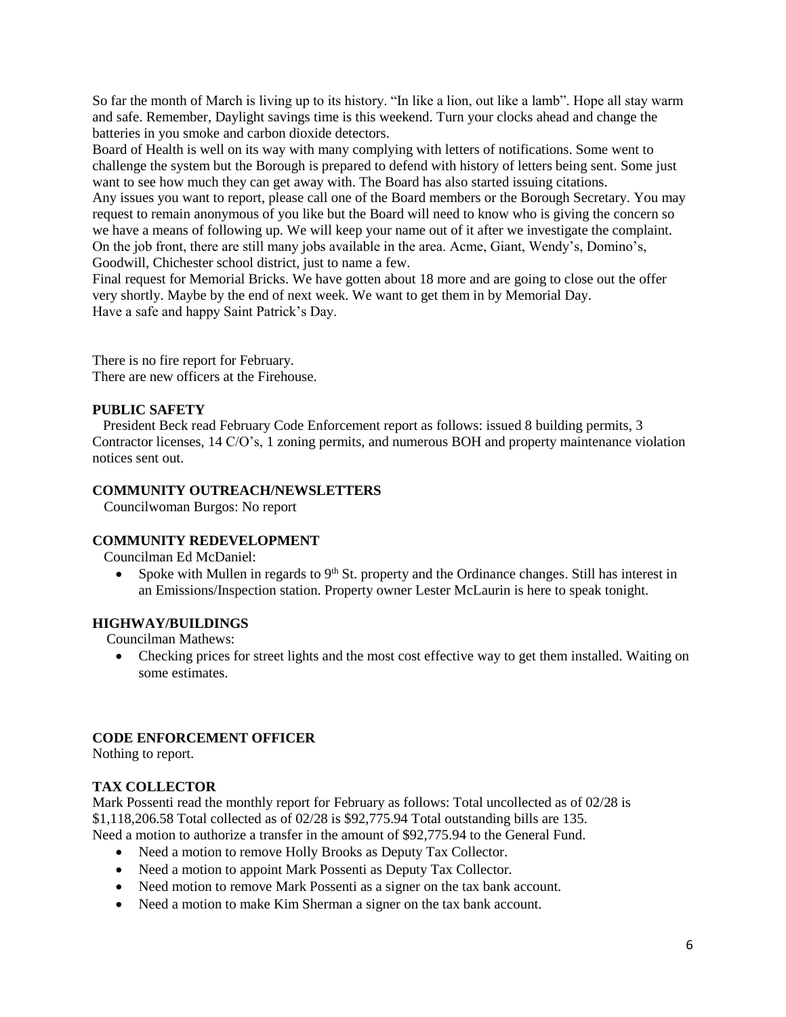So far the month of March is living up to its history. "In like a lion, out like a lamb". Hope all stay warm and safe. Remember, Daylight savings time is this weekend. Turn your clocks ahead and change the batteries in you smoke and carbon dioxide detectors.

Board of Health is well on its way with many complying with letters of notifications. Some went to challenge the system but the Borough is prepared to defend with history of letters being sent. Some just want to see how much they can get away with. The Board has also started issuing citations.

Any issues you want to report, please call one of the Board members or the Borough Secretary. You may request to remain anonymous of you like but the Board will need to know who is giving the concern so we have a means of following up. We will keep your name out of it after we investigate the complaint. On the job front, there are still many jobs available in the area. Acme, Giant, Wendy's, Domino's, Goodwill, Chichester school district, just to name a few.

Final request for Memorial Bricks. We have gotten about 18 more and are going to close out the offer very shortly. Maybe by the end of next week. We want to get them in by Memorial Day. Have a safe and happy Saint Patrick's Day.

There is no fire report for February. There are new officers at the Firehouse.

# **PUBLIC SAFETY**

 President Beck read February Code Enforcement report as follows: issued 8 building permits, 3 Contractor licenses, 14 C/O's, 1 zoning permits, and numerous BOH and property maintenance violation notices sent out.

# **COMMUNITY OUTREACH/NEWSLETTERS**

Councilwoman Burgos: No report

# **COMMUNITY REDEVELOPMENT**

Councilman Ed McDaniel:

• Spoke with Mullen in regards to  $9<sup>th</sup>$  St. property and the Ordinance changes. Still has interest in an Emissions/Inspection station. Property owner Lester McLaurin is here to speak tonight.

# **HIGHWAY/BUILDINGS**

Councilman Mathews:

• Checking prices for street lights and the most cost effective way to get them installed. Waiting on some estimates.

# **CODE ENFORCEMENT OFFICER**

Nothing to report.

# **TAX COLLECTOR**

Mark Possenti read the monthly report for February as follows: Total uncollected as of 02/28 is \$1,118,206.58 Total collected as of 02/28 is \$92,775.94 Total outstanding bills are 135. Need a motion to authorize a transfer in the amount of \$92,775.94 to the General Fund.

- Need a motion to remove Holly Brooks as Deputy Tax Collector.
- Need a motion to appoint Mark Possenti as Deputy Tax Collector.
- Need motion to remove Mark Possenti as a signer on the tax bank account.
- Need a motion to make Kim Sherman a signer on the tax bank account.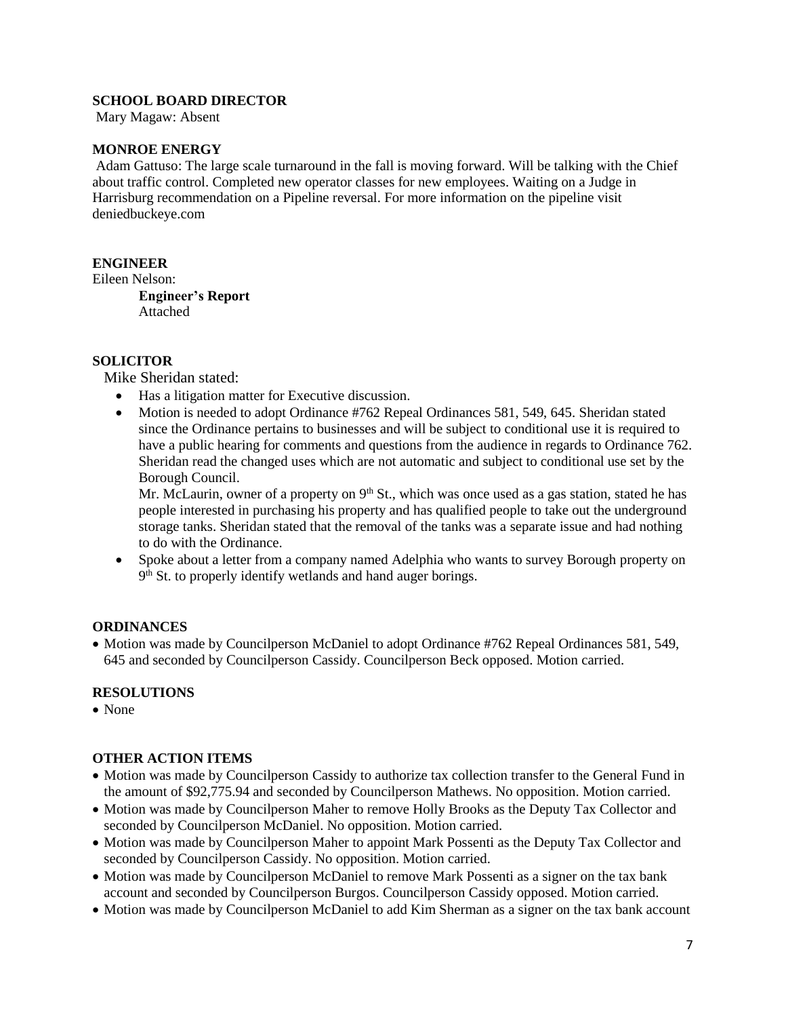# **SCHOOL BOARD DIRECTOR**

Mary Magaw: Absent

### **MONROE ENERGY**

Adam Gattuso: The large scale turnaround in the fall is moving forward. Will be talking with the Chief about traffic control. Completed new operator classes for new employees. Waiting on a Judge in Harrisburg recommendation on a Pipeline reversal. For more information on the pipeline visit deniedbuckeye.com

# **ENGINEER**

Eileen Nelson:

**Engineer's Report** Attached

### **SOLICITOR**

Mike Sheridan stated:

- Has a litigation matter for Executive discussion.
- Motion is needed to adopt Ordinance #762 Repeal Ordinances 581, 549, 645. Sheridan stated since the Ordinance pertains to businesses and will be subject to conditional use it is required to have a public hearing for comments and questions from the audience in regards to Ordinance 762. Sheridan read the changed uses which are not automatic and subject to conditional use set by the Borough Council.

Mr. McLaurin, owner of a property on  $9<sup>th</sup>$  St., which was once used as a gas station, stated he has people interested in purchasing his property and has qualified people to take out the underground storage tanks. Sheridan stated that the removal of the tanks was a separate issue and had nothing to do with the Ordinance.

 Spoke about a letter from a company named Adelphia who wants to survey Borough property on 9<sup>th</sup> St. to properly identify wetlands and hand auger borings.

# **ORDINANCES**

• Motion was made by Councilperson McDaniel to adopt Ordinance #762 Repeal Ordinances 581, 549, 645 and seconded by Councilperson Cassidy. Councilperson Beck opposed. Motion carried.

# **RESOLUTIONS**

• None

# **OTHER ACTION ITEMS**

- Motion was made by Councilperson Cassidy to authorize tax collection transfer to the General Fund in the amount of \$92,775.94 and seconded by Councilperson Mathews. No opposition. Motion carried.
- Motion was made by Councilperson Maher to remove Holly Brooks as the Deputy Tax Collector and seconded by Councilperson McDaniel. No opposition. Motion carried.
- Motion was made by Councilperson Maher to appoint Mark Possenti as the Deputy Tax Collector and seconded by Councilperson Cassidy. No opposition. Motion carried.
- Motion was made by Councilperson McDaniel to remove Mark Possenti as a signer on the tax bank account and seconded by Councilperson Burgos. Councilperson Cassidy opposed. Motion carried.
- Motion was made by Councilperson McDaniel to add Kim Sherman as a signer on the tax bank account